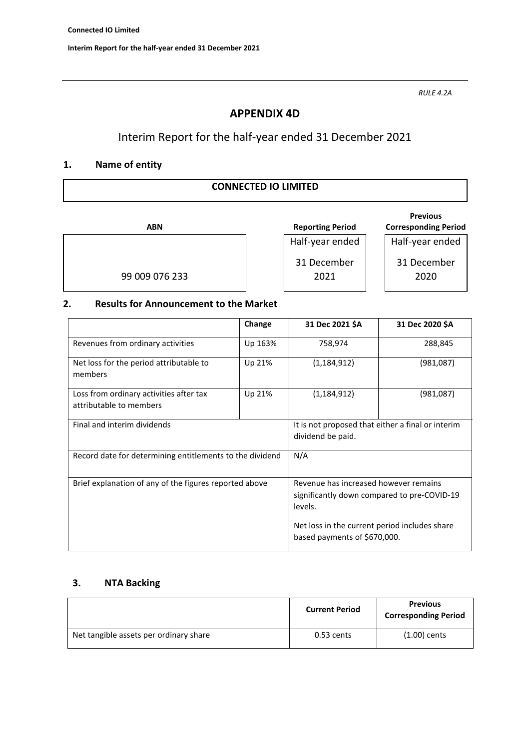*RULE 4.2A*

## **APPENDIX 4D**

# Interim Report for the half-year ended 31 December 2021

## **1. Name of entity**

### **CONNECTED IO LIMITED**

| <b>ABN</b> |                |  |
|------------|----------------|--|
|            |                |  |
|            |                |  |
|            | 99 009 076 233 |  |

**Reporting Period** Half-year ended 31 December 2021

#### **Previous Corresponding Period**

Half-year ended

31 December 2020

### **2. Results for Announcement to the Market**

|                                                                    | Change  | 31 Dec 2021 \$A                                                                                 | 31 Dec 2020 \$A |
|--------------------------------------------------------------------|---------|-------------------------------------------------------------------------------------------------|-----------------|
| Revenues from ordinary activities                                  | Up 163% | 758,974                                                                                         | 288,845         |
| Net loss for the period attributable to<br>members                 | Up 21%  | (1, 184, 912)                                                                                   | (981,087)       |
| Loss from ordinary activities after tax<br>attributable to members | Up 21%  | (1, 184, 912)                                                                                   | (981,087)       |
| Final and interim dividends                                        |         | It is not proposed that either a final or interim<br>dividend be paid.                          |                 |
| Record date for determining entitlements to the dividend           |         | N/A                                                                                             |                 |
| Brief explanation of any of the figures reported above             |         | Revenue has increased however remains<br>significantly down compared to pre-COVID-19<br>levels. |                 |
|                                                                    |         | Net loss in the current period includes share<br>based payments of \$670,000.                   |                 |

## **3. NTA Backing**

|                                        | <b>Current Period</b> | <b>Previous</b><br><b>Corresponding Period</b> |
|----------------------------------------|-----------------------|------------------------------------------------|
| Net tangible assets per ordinary share | 0.53 cents            | $(1.00)$ cents                                 |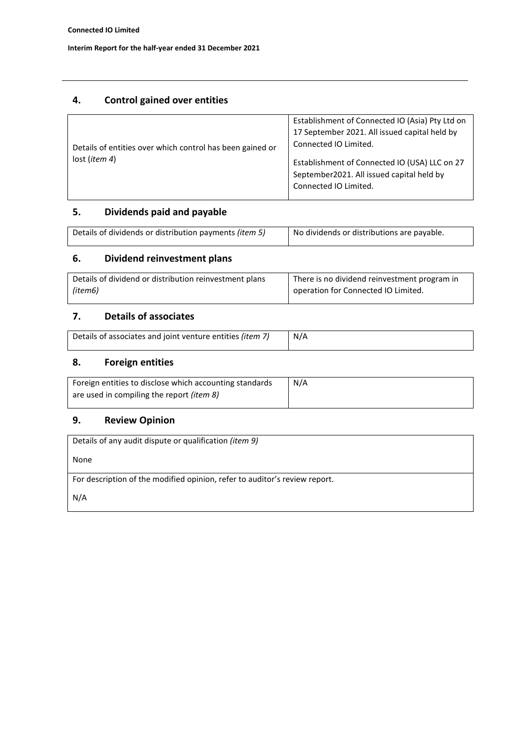## **4. Control gained over entities**

| Details of entities over which control has been gained or | Establishment of Connected IO (Asia) Pty Ltd on<br>17 September 2021. All issued capital held by<br>Connected IO Limited. |
|-----------------------------------------------------------|---------------------------------------------------------------------------------------------------------------------------|
| lost (item 4)                                             | Establishment of Connected IO (USA) LLC on 27<br>September2021. All issued capital held by<br>Connected IO Limited.       |

## **5. Dividends paid and payable**

| Details of dividends or distribution payments (item 5) | No dividends or distributions are payable. |  |
|--------------------------------------------------------|--------------------------------------------|--|
|                                                        |                                            |  |

# **6. Dividend reinvestment plans**

| Details of dividend or distribution reinvestment plans | There is no dividend reinvestment program in |
|--------------------------------------------------------|----------------------------------------------|
| (item6)                                                | operation for Connected IO Limited.          |

## **7. Details of associates**

| Details of associates and joint venture entities (item 7) | N/A |
|-----------------------------------------------------------|-----|
|                                                           |     |

## **8. Foreign entities**

| Foreign entities to disclose which accounting standards | N/A |
|---------------------------------------------------------|-----|
| are used in compiling the report <i>(item 8)</i>        |     |

## **9. Review Opinion**

| Details of any audit dispute or qualification <i>(item 9)</i>              |
|----------------------------------------------------------------------------|
| None                                                                       |
| For description of the modified opinion, refer to auditor's review report. |
| N/A                                                                        |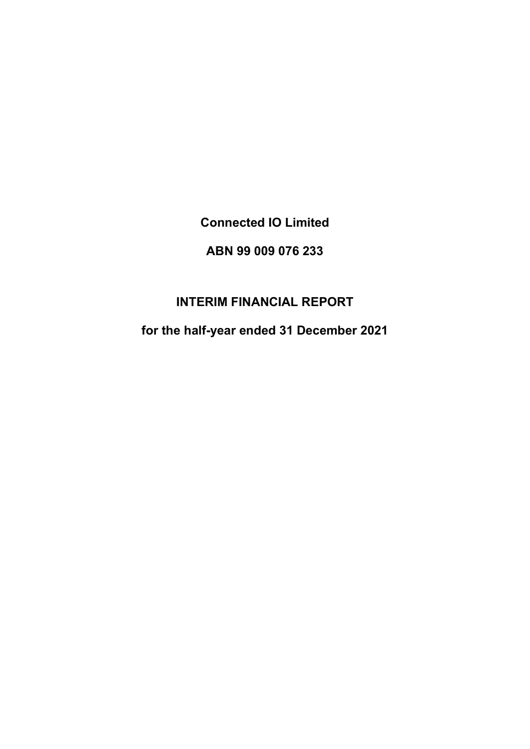**Connected IO Limited**

# **ABN 99 009 076 233**

# **INTERIM FINANCIAL REPORT**

**for the half-year ended 31 December 2021**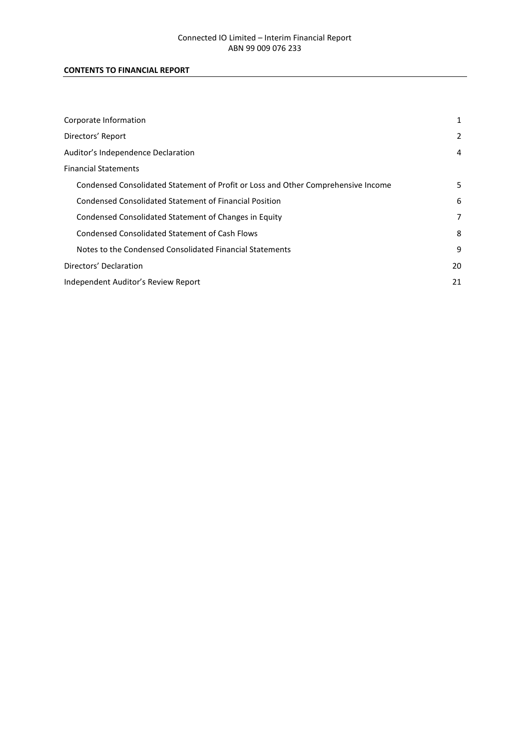### **CONTENTS TO FINANCIAL REPORT**

| Corporate Information                                                             | 1  |
|-----------------------------------------------------------------------------------|----|
| Directors' Report                                                                 | 2  |
| Auditor's Independence Declaration                                                | 4  |
| <b>Financial Statements</b>                                                       |    |
| Condensed Consolidated Statement of Profit or Loss and Other Comprehensive Income | 5  |
| Condensed Consolidated Statement of Financial Position                            | 6  |
| Condensed Consolidated Statement of Changes in Equity                             | 7  |
| Condensed Consolidated Statement of Cash Flows                                    | 8  |
| Notes to the Condensed Consolidated Financial Statements                          | 9  |
| Directors' Declaration                                                            | 20 |
| Independent Auditor's Review Report                                               | 21 |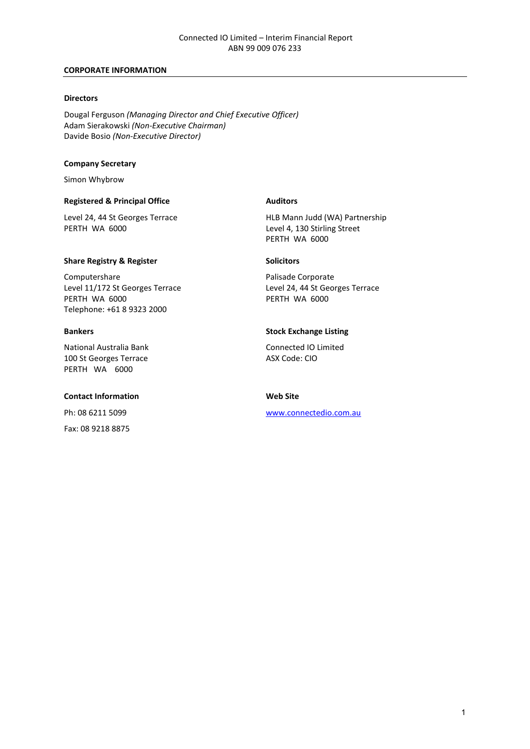#### **CORPORATE INFORMATION**

#### **Directors**

Dougal Ferguson *(Managing Director and Chief Executive Officer)* Adam Sierakowski *(Non-Executive Chairman)* Davide Bosio *(Non-Executive Director)*

#### **Company Secretary**

Simon Whybrow

#### **Registered & Principal Office Auditors**

#### **Share Registry & Register Share Registry & Register Solicitors**

Computershare<br>
Level 11/172 St Georges Terrace<br>
Level 24, 44 St Georges Terrace<br>
Level 24, 44 St Georges Terrace Level 11/172 St Georges Terrace<br>
PERTH WA 6000<br>
PERTH WA 6000 **PERTH WA 6000** Telephone: +61 8 9323 2000

National Australia Bank Connected IO Limited 100 St Georges Terrace ASX Code: CIO PERTH WA 6000

#### **Contact Information Web Site**

Fax: 08 9218 8875

Level 24, 44 St Georges Terrace HLB Mann Judd (WA) Partnership<br>
PERTH WA 6000 FERTH WA 6000 Level 4, 130 Stirling Street PERTH WA 6000

#### **Bankers Stock Exchange Listing**

Ph: 08 6211 5099 [www.connectedio.com.au](http://www.connectedio.com.au/)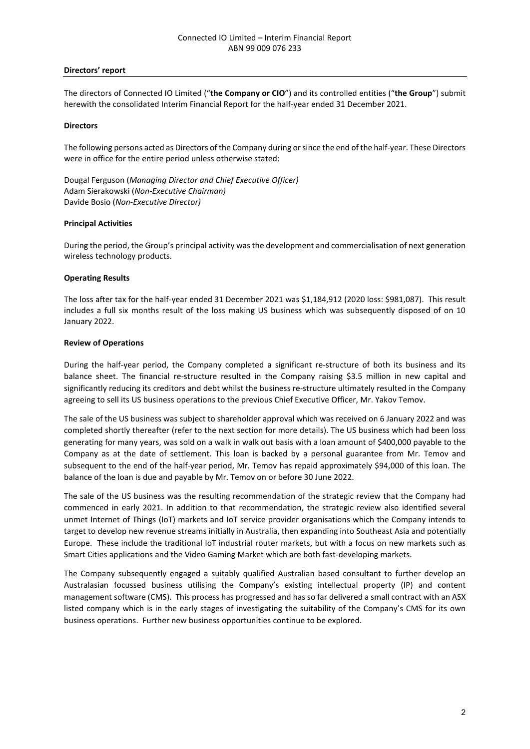#### **Directors' report**

The directors of Connected IO Limited ("**the Company or CIO**") and its controlled entities ("**the Group**") submit herewith the consolidated Interim Financial Report for the half-year ended 31 December 2021.

#### **Directors**

The following persons acted as Directors of the Company during or since the end of the half-year. These Directors were in office for the entire period unless otherwise stated:

Dougal Ferguson (*Managing Director and Chief Executive Officer)* Adam Sierakowski (*Non-Executive Chairman)* Davide Bosio (*Non-Executive Director)* 

#### **Principal Activities**

During the period, the Group's principal activity was the development and commercialisation of next generation wireless technology products.

#### **Operating Results**

The loss after tax for the half-year ended 31 December 2021 was \$1,184,912 (2020 loss: \$981,087). This result includes a full six months result of the loss making US business which was subsequently disposed of on 10 January 2022.

#### **Review of Operations**

During the half-year period, the Company completed a significant re-structure of both its business and its balance sheet. The financial re-structure resulted in the Company raising \$3.5 million in new capital and significantly reducing its creditors and debt whilst the business re-structure ultimately resulted in the Company agreeing to sell its US business operations to the previous Chief Executive Officer, Mr. Yakov Temov.

The sale of the US business was subject to shareholder approval which was received on 6 January 2022 and was completed shortly thereafter (refer to the next section for more details). The US business which had been loss generating for many years, was sold on a walk in walk out basis with a loan amount of \$400,000 payable to the Company as at the date of settlement. This loan is backed by a personal guarantee from Mr. Temov and subsequent to the end of the half-year period, Mr. Temov has repaid approximately \$94,000 of this loan. The balance of the loan is due and payable by Mr. Temov on or before 30 June 2022.

The sale of the US business was the resulting recommendation of the strategic review that the Company had commenced in early 2021. In addition to that recommendation, the strategic review also identified several unmet Internet of Things (IoT) markets and IoT service provider organisations which the Company intends to target to develop new revenue streams initially in Australia, then expanding into Southeast Asia and potentially Europe. These include the traditional IoT industrial router markets, but with a focus on new markets such as Smart Cities applications and the Video Gaming Market which are both fast-developing markets.

The Company subsequently engaged a suitably qualified Australian based consultant to further develop an Australasian focussed business utilising the Company's existing intellectual property (IP) and content management software (CMS). This process has progressed and has so far delivered a small contract with an ASX listed company which is in the early stages of investigating the suitability of the Company's CMS for its own business operations. Further new business opportunities continue to be explored.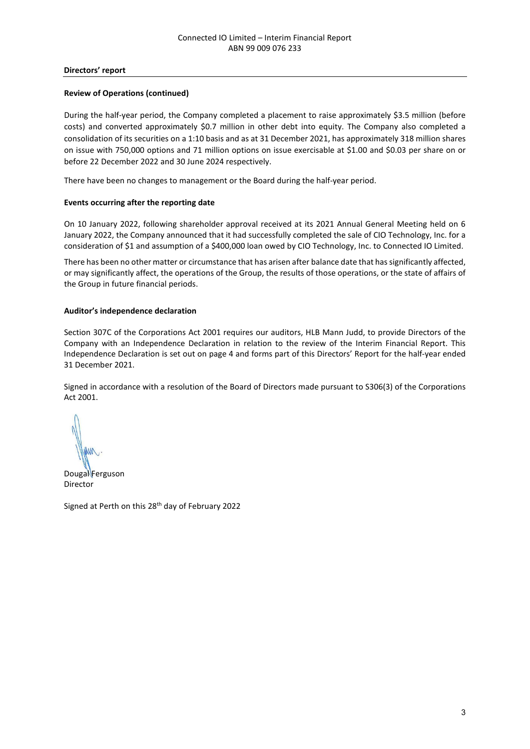#### **Directors' report**

#### **Review of Operations (continued)**

During the half-year period, the Company completed a placement to raise approximately \$3.5 million (before costs) and converted approximately \$0.7 million in other debt into equity. The Company also completed a consolidation of its securities on a 1:10 basis and as at 31 December 2021, has approximately 318 million shares on issue with 750,000 options and 71 million options on issue exercisable at \$1.00 and \$0.03 per share on or before 22 December 2022 and 30 June 2024 respectively.

There have been no changes to management or the Board during the half-year period.

#### **Events occurring after the reporting date**

On 10 January 2022, following shareholder approval received at its 2021 Annual General Meeting held on 6 January 2022, the Company announced that it had successfully completed the sale of CIO Technology, Inc. for a consideration of \$1 and assumption of a \$400,000 loan owed by CIO Technology, Inc. to Connected IO Limited.

There has been no other matter or circumstance that has arisen after balance date that has significantly affected, or may significantly affect, the operations of the Group, the results of those operations, or the state of affairs of the Group in future financial periods.

#### **Auditor's independence declaration**

Section 307C of the Corporations Act 2001 requires our auditors, HLB Mann Judd, to provide Directors of the Company with an Independence Declaration in relation to the review of the Interim Financial Report. This Independence Declaration is set out on page 4 and forms part of this Directors' Report for the half-year ended 31 December 2021.

Signed in accordance with a resolution of the Board of Directors made pursuant to S306(3) of the Corporations Act 2001.

Dougal Ferguson Director

Signed at Perth on this 28<sup>th</sup> day of February 2022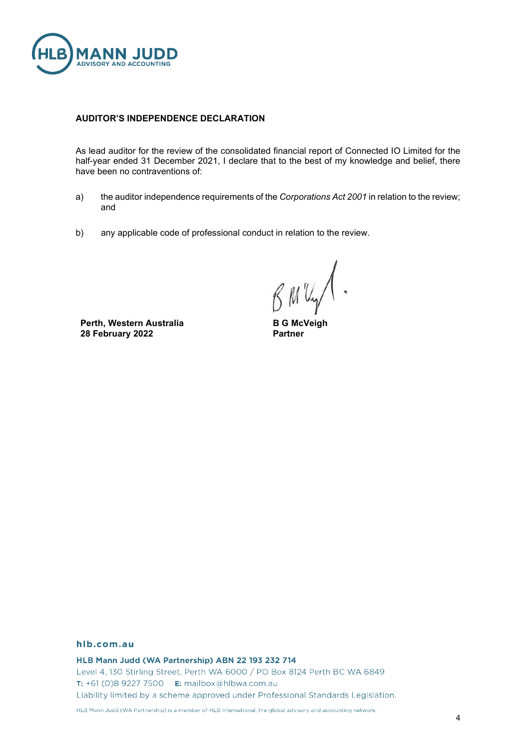

#### **AUDITOR'S INDEPENDENCE DECLARATION**

As lead auditor for the review of the consolidated financial report of Connected IO Limited for the half-year ended 31 December 2021, I declare that to the best of my knowledge and belief, there have been no contraventions of:

- a) the auditor independence requirements of the *Corporations Act 2001* in relation to the review; and
- b) any applicable code of professional conduct in relation to the review.

BMUY

**Perth, Western Australia 28 February 2022**

**B G McVeigh Partner**

#### hlb.com.au

HLB Mann Judd (WA Partnership) ABN 22 193 232 714 Level 4, 130 Stirling Street, Perth WA 6000 / PO Box 8124 Perth BC WA 6849 T: +61 (0)8 9227 7500 **E:** mailbox@hlbwa.com.au Liability limited by a scheme approved under Professional Standards Legislation.

HLB Mann Judd (WA Partnership) is a member of HLB International, the global advisory and accounting network.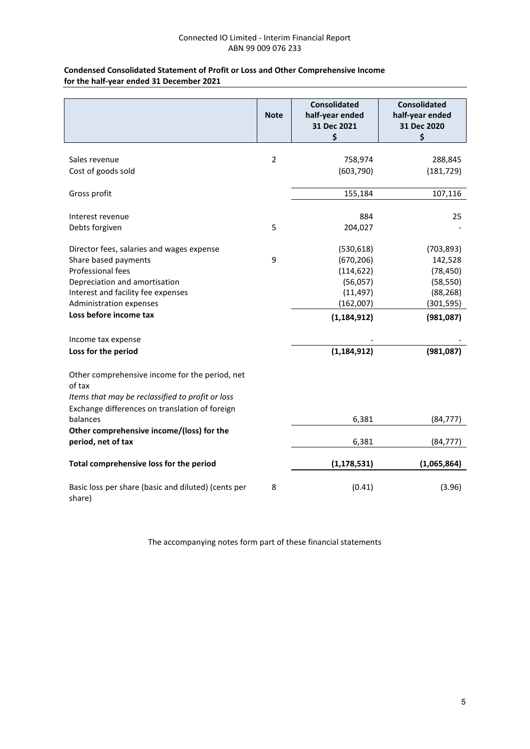#### **Condensed Consolidated Statement of Profit or Loss and Other Comprehensive Income for the half-year ended 31 December 2021**

|                                                               | <b>Note</b>    | <b>Consolidated</b><br>half-year ended | <b>Consolidated</b><br>half-year ended |
|---------------------------------------------------------------|----------------|----------------------------------------|----------------------------------------|
|                                                               |                | 31 Dec 2021<br>\$                      | 31 Dec 2020<br>\$                      |
|                                                               |                |                                        |                                        |
| Sales revenue                                                 | $\overline{2}$ | 758,974                                | 288,845                                |
| Cost of goods sold                                            |                | (603, 790)                             | (181, 729)                             |
| Gross profit                                                  |                | 155,184                                | 107,116                                |
| Interest revenue                                              |                | 884                                    | 25                                     |
| Debts forgiven                                                | 5              | 204,027                                |                                        |
| Director fees, salaries and wages expense                     |                | (530, 618)                             | (703, 893)                             |
| Share based payments                                          | 9              | (670, 206)                             | 142,528                                |
| Professional fees                                             |                | (114, 622)                             | (78, 450)                              |
| Depreciation and amortisation                                 |                | (56,057)                               | (58, 550)                              |
| Interest and facility fee expenses                            |                | (11, 497)                              | (88, 268)                              |
| Administration expenses                                       |                | (162,007)                              | (301, 595)                             |
| Loss before income tax                                        |                | (1, 184, 912)                          | (981,087)                              |
| Income tax expense                                            |                |                                        |                                        |
| Loss for the period                                           |                | (1, 184, 912)                          | (981,087)                              |
| Other comprehensive income for the period, net<br>of tax      |                |                                        |                                        |
| Items that may be reclassified to profit or loss              |                |                                        |                                        |
| Exchange differences on translation of foreign                |                |                                        |                                        |
| balances                                                      |                | 6,381                                  | (84, 777)                              |
| Other comprehensive income/(loss) for the                     |                |                                        |                                        |
| period, net of tax                                            |                | 6,381                                  | (84, 777)                              |
| Total comprehensive loss for the period                       |                | (1, 178, 531)                          | (1,065,864)                            |
| Basic loss per share (basic and diluted) (cents per<br>share) | 8              | (0.41)                                 | (3.96)                                 |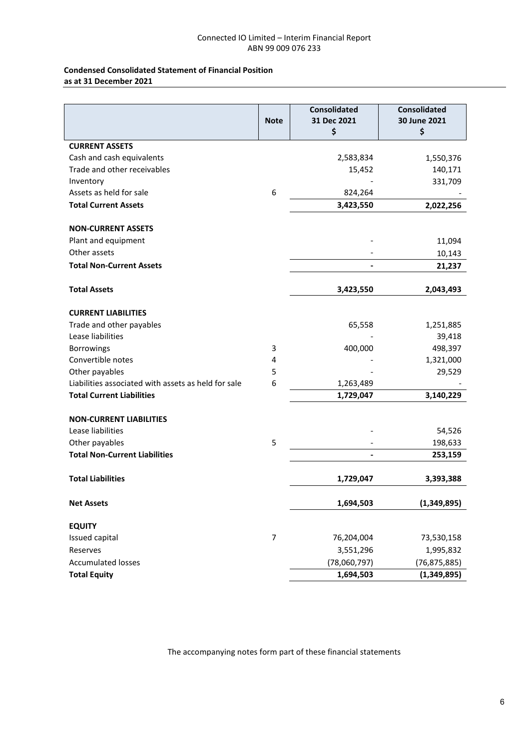#### **Condensed Consolidated Statement of Financial Position as at 31 December 2021**

|                                                     | <b>Note</b>    | <b>Consolidated</b><br>31 Dec 2021<br>\$ | <b>Consolidated</b><br>30 June 2021<br>\$ |
|-----------------------------------------------------|----------------|------------------------------------------|-------------------------------------------|
| <b>CURRENT ASSETS</b>                               |                |                                          |                                           |
| Cash and cash equivalents                           |                | 2,583,834                                | 1,550,376                                 |
| Trade and other receivables                         |                | 15,452                                   | 140,171                                   |
| Inventory                                           |                |                                          | 331,709                                   |
| Assets as held for sale                             | 6              | 824,264                                  |                                           |
| <b>Total Current Assets</b>                         |                | 3,423,550                                | 2,022,256                                 |
| <b>NON-CURRENT ASSETS</b>                           |                |                                          |                                           |
| Plant and equipment                                 |                |                                          | 11,094                                    |
| Other assets                                        |                |                                          | 10,143                                    |
| <b>Total Non-Current Assets</b>                     |                |                                          | 21,237                                    |
| <b>Total Assets</b>                                 |                | 3,423,550                                | 2,043,493                                 |
| <b>CURRENT LIABILITIES</b>                          |                |                                          |                                           |
| Trade and other payables                            |                | 65,558                                   | 1,251,885                                 |
| Lease liabilities                                   |                |                                          | 39,418                                    |
| <b>Borrowings</b>                                   | 3              | 400,000                                  | 498,397                                   |
| Convertible notes                                   | 4              |                                          | 1,321,000                                 |
| Other payables                                      | 5              |                                          | 29,529                                    |
| Liabilities associated with assets as held for sale | 6              | 1,263,489                                |                                           |
| <b>Total Current Liabilities</b>                    |                | 1,729,047                                | 3,140,229                                 |
| <b>NON-CURRENT LIABILITIES</b>                      |                |                                          |                                           |
| Lease liabilities                                   |                |                                          | 54,526                                    |
| Other payables                                      | 5              |                                          | 198,633                                   |
| <b>Total Non-Current Liabilities</b>                |                |                                          | 253,159                                   |
| <b>Total Liabilities</b>                            |                | 1,729,047                                | 3,393,388                                 |
| <b>Net Assets</b>                                   |                | 1,694,503                                | (1,349,895)                               |
| <b>EQUITY</b>                                       |                |                                          |                                           |
| Issued capital                                      | $\overline{7}$ | 76,204,004                               | 73,530,158                                |
| Reserves                                            |                | 3,551,296                                | 1,995,832                                 |
| <b>Accumulated losses</b>                           |                | (78,060,797)                             | (76, 875, 885)                            |
| <b>Total Equity</b>                                 |                | 1,694,503                                | (1,349,895)                               |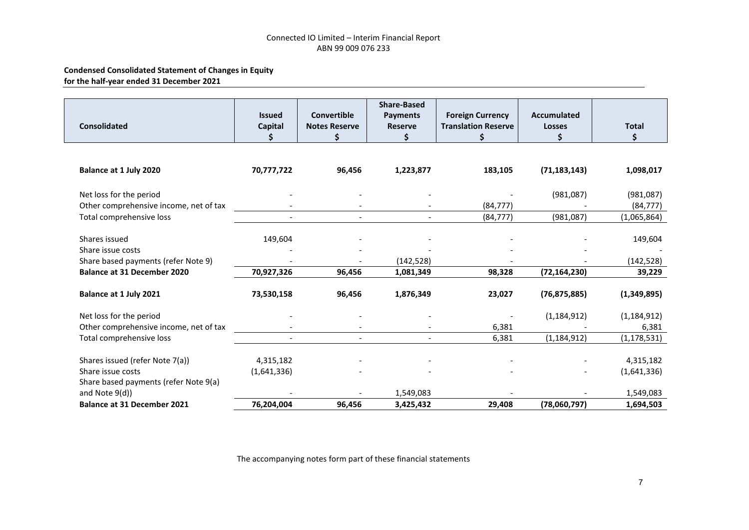### **Condensed Consolidated Statement of Changes in Equity for the half-year ended 31 December 2021**

| <b>Consolidated</b>                    | <b>Issued</b><br>Capital | <b>Convertible</b><br><b>Notes Reserve</b><br>\$ | <b>Share-Based</b><br>Payments<br><b>Reserve</b><br>Ś. | <b>Foreign Currency</b><br><b>Translation Reserve</b><br>\$ | <b>Accumulated</b><br><b>Losses</b> | <b>Total</b><br>\$ |
|----------------------------------------|--------------------------|--------------------------------------------------|--------------------------------------------------------|-------------------------------------------------------------|-------------------------------------|--------------------|
|                                        |                          |                                                  |                                                        |                                                             |                                     |                    |
| Balance at 1 July 2020                 | 70,777,722               | 96,456                                           | 1,223,877                                              | 183,105                                                     | (71, 183, 143)                      | 1,098,017          |
| Net loss for the period                |                          |                                                  |                                                        |                                                             | (981,087)                           | (981,087)          |
| Other comprehensive income, net of tax |                          |                                                  |                                                        | (84, 777)                                                   |                                     | (84, 777)          |
| Total comprehensive loss               |                          | $\blacksquare$                                   |                                                        | (84, 777)                                                   | (981,087)                           | (1,065,864)        |
| Shares issued                          | 149,604                  |                                                  |                                                        |                                                             |                                     | 149,604            |
| Share issue costs                      |                          |                                                  |                                                        |                                                             |                                     |                    |
| Share based payments (refer Note 9)    |                          |                                                  | (142, 528)                                             |                                                             |                                     | (142, 528)         |
| <b>Balance at 31 December 2020</b>     | 70,927,326               | 96,456                                           | 1,081,349                                              | 98,328                                                      | (72, 164, 230)                      | 39,229             |
| Balance at 1 July 2021                 | 73,530,158               | 96,456                                           | 1,876,349                                              | 23,027                                                      | (76, 875, 885)                      | (1,349,895)        |
| Net loss for the period                |                          |                                                  |                                                        |                                                             | (1, 184, 912)                       | (1, 184, 912)      |
| Other comprehensive income, net of tax |                          |                                                  |                                                        | 6,381                                                       |                                     | 6,381              |
| Total comprehensive loss               |                          | $\overline{a}$                                   |                                                        | 6,381                                                       | (1, 184, 912)                       | (1, 178, 531)      |
| Shares issued (refer Note 7(a))        | 4,315,182                |                                                  |                                                        |                                                             |                                     | 4,315,182          |
| Share issue costs                      | (1,641,336)              |                                                  |                                                        |                                                             |                                     | (1,641,336)        |
| Share based payments (refer Note 9(a)  |                          |                                                  |                                                        |                                                             |                                     |                    |
| and Note 9(d))                         |                          |                                                  | 1,549,083                                              |                                                             |                                     | 1,549,083          |
| <b>Balance at 31 December 2021</b>     | 76,204,004               | 96,456                                           | 3,425,432                                              | 29,408                                                      | (78,060,797)                        | 1,694,503          |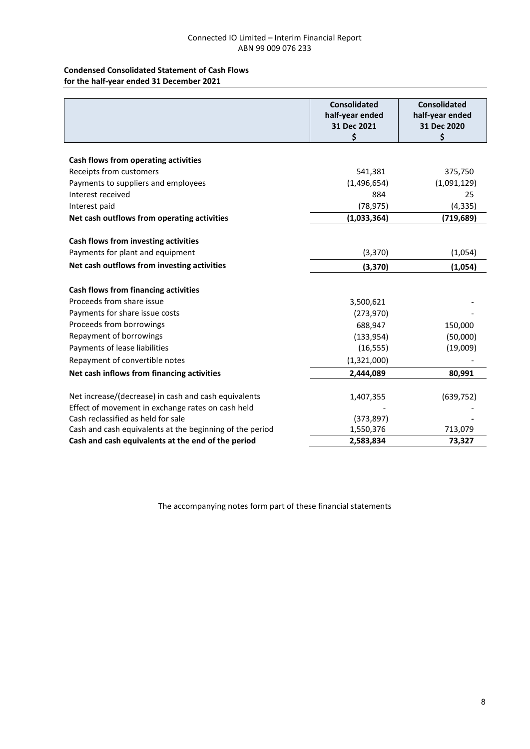#### **Condensed Consolidated Statement of Cash Flows for the half-year ended 31 December 2021**

|                                                                                                           | <b>Consolidated</b><br>half-year ended<br>31 Dec 2021<br>\$ | <b>Consolidated</b><br>half-year ended<br>31 Dec 2020<br>\$ |
|-----------------------------------------------------------------------------------------------------------|-------------------------------------------------------------|-------------------------------------------------------------|
|                                                                                                           |                                                             |                                                             |
| Cash flows from operating activities<br>Receipts from customers                                           | 541,381                                                     | 375,750                                                     |
| Payments to suppliers and employees                                                                       | (1,496,654)                                                 | (1,091,129)                                                 |
| Interest received                                                                                         | 884                                                         | 25                                                          |
| Interest paid                                                                                             | (78, 975)                                                   | (4, 335)                                                    |
| Net cash outflows from operating activities                                                               | (1,033,364)                                                 | (719, 689)                                                  |
|                                                                                                           |                                                             |                                                             |
| Cash flows from investing activities                                                                      |                                                             |                                                             |
| Payments for plant and equipment                                                                          | (3, 370)                                                    | (1,054)                                                     |
| Net cash outflows from investing activities                                                               | (3, 370)                                                    | (1,054)                                                     |
| Cash flows from financing activities                                                                      |                                                             |                                                             |
| Proceeds from share issue                                                                                 | 3,500,621                                                   |                                                             |
| Payments for share issue costs                                                                            | (273,970)                                                   |                                                             |
| Proceeds from borrowings                                                                                  | 688,947                                                     | 150,000                                                     |
| Repayment of borrowings                                                                                   | (133, 954)                                                  | (50,000)                                                    |
| Payments of lease liabilities                                                                             | (16, 555)                                                   | (19,009)                                                    |
| Repayment of convertible notes                                                                            | (1,321,000)                                                 |                                                             |
| Net cash inflows from financing activities                                                                | 2,444,089                                                   | 80,991                                                      |
| Net increase/(decrease) in cash and cash equivalents<br>Effect of movement in exchange rates on cash held | 1,407,355                                                   | (639, 752)                                                  |
| Cash reclassified as held for sale                                                                        | (373, 897)                                                  |                                                             |
| Cash and cash equivalents at the beginning of the period                                                  | 1,550,376                                                   | 713,079                                                     |
| Cash and cash equivalents at the end of the period                                                        | 2,583,834                                                   | 73,327                                                      |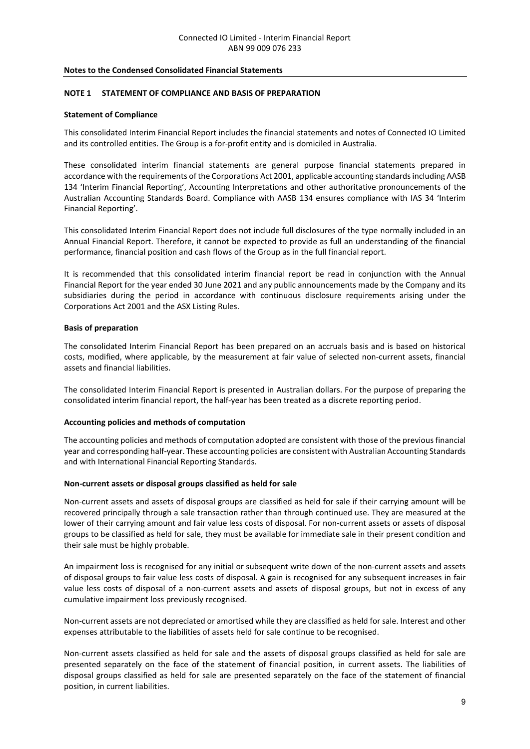#### **NOTE 1 STATEMENT OF COMPLIANCE AND BASIS OF PREPARATION**

#### **Statement of Compliance**

This consolidated Interim Financial Report includes the financial statements and notes of Connected IO Limited and its controlled entities. The Group is a for-profit entity and is domiciled in Australia.

These consolidated interim financial statements are general purpose financial statements prepared in accordance with the requirements of the Corporations Act 2001, applicable accounting standards including AASB 134 'Interim Financial Reporting', Accounting Interpretations and other authoritative pronouncements of the Australian Accounting Standards Board. Compliance with AASB 134 ensures compliance with IAS 34 'Interim Financial Reporting'.

This consolidated Interim Financial Report does not include full disclosures of the type normally included in an Annual Financial Report. Therefore, it cannot be expected to provide as full an understanding of the financial performance, financial position and cash flows of the Group as in the full financial report.

It is recommended that this consolidated interim financial report be read in conjunction with the Annual Financial Report for the year ended 30 June 2021 and any public announcements made by the Company and its subsidiaries during the period in accordance with continuous disclosure requirements arising under the Corporations Act 2001 and the ASX Listing Rules.

#### **Basis of preparation**

The consolidated Interim Financial Report has been prepared on an accruals basis and is based on historical costs, modified, where applicable, by the measurement at fair value of selected non-current assets, financial assets and financial liabilities.

The consolidated Interim Financial Report is presented in Australian dollars. For the purpose of preparing the consolidated interim financial report, the half-year has been treated as a discrete reporting period.

#### **Accounting policies and methods of computation**

The accounting policies and methods of computation adopted are consistent with those of the previous financial year and corresponding half-year. These accounting policies are consistent with Australian Accounting Standards and with International Financial Reporting Standards.

#### **Non-current assets or disposal groups classified as held for sale**

Non-current assets and assets of disposal groups are classified as held for sale if their carrying amount will be recovered principally through a sale transaction rather than through continued use. They are measured at the lower of their carrying amount and fair value less costs of disposal. For non-current assets or assets of disposal groups to be classified as held for sale, they must be available for immediate sale in their present condition and their sale must be highly probable.

An impairment loss is recognised for any initial or subsequent write down of the non-current assets and assets of disposal groups to fair value less costs of disposal. A gain is recognised for any subsequent increases in fair value less costs of disposal of a non-current assets and assets of disposal groups, but not in excess of any cumulative impairment loss previously recognised.

Non-current assets are not depreciated or amortised while they are classified as held for sale. Interest and other expenses attributable to the liabilities of assets held for sale continue to be recognised.

Non-current assets classified as held for sale and the assets of disposal groups classified as held for sale are presented separately on the face of the statement of financial position, in current assets. The liabilities of disposal groups classified as held for sale are presented separately on the face of the statement of financial position, in current liabilities.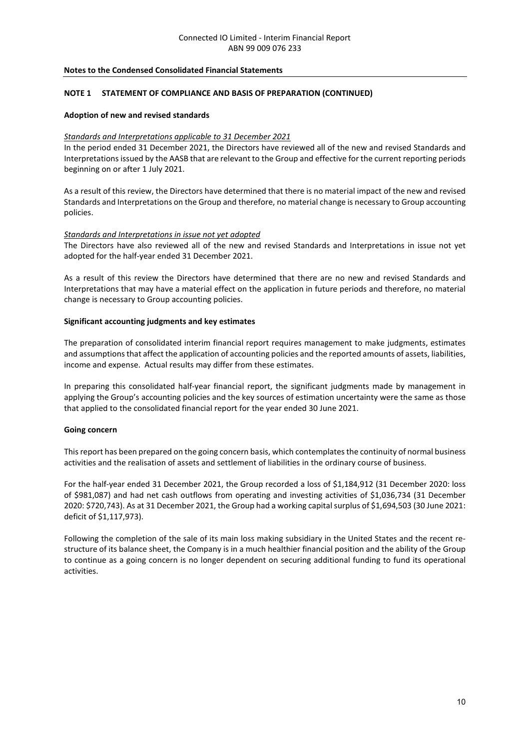#### **NOTE 1 STATEMENT OF COMPLIANCE AND BASIS OF PREPARATION (CONTINUED)**

#### **Adoption of new and revised standards**

#### *Standards and Interpretations applicable to 31 December 2021*

In the period ended 31 December 2021, the Directors have reviewed all of the new and revised Standards and Interpretations issued by the AASB that are relevant to the Group and effective for the current reporting periods beginning on or after 1 July 2021.

As a result of this review, the Directors have determined that there is no material impact of the new and revised Standards and Interpretations on the Group and therefore, no material change is necessary to Group accounting policies.

#### *Standards and Interpretations in issue not yet adopted*

The Directors have also reviewed all of the new and revised Standards and Interpretations in issue not yet adopted for the half-year ended 31 December 2021.

As a result of this review the Directors have determined that there are no new and revised Standards and Interpretations that may have a material effect on the application in future periods and therefore, no material change is necessary to Group accounting policies.

#### **Significant accounting judgments and key estimates**

The preparation of consolidated interim financial report requires management to make judgments, estimates and assumptions that affect the application of accounting policies and the reported amounts of assets, liabilities, income and expense. Actual results may differ from these estimates.

In preparing this consolidated half-year financial report, the significant judgments made by management in applying the Group's accounting policies and the key sources of estimation uncertainty were the same as those that applied to the consolidated financial report for the year ended 30 June 2021.

#### **Going concern**

This report has been prepared on the going concern basis, which contemplates the continuity of normal business activities and the realisation of assets and settlement of liabilities in the ordinary course of business.

For the half-year ended 31 December 2021, the Group recorded a loss of \$1,184,912 (31 December 2020: loss of \$981,087) and had net cash outflows from operating and investing activities of \$1,036,734 (31 December 2020: \$720,743). As at 31 December 2021, the Group had a working capital surplus of \$1,694,503 (30 June 2021: deficit of \$1,117,973).

Following the completion of the sale of its main loss making subsidiary in the United States and the recent restructure of its balance sheet, the Company is in a much healthier financial position and the ability of the Group to continue as a going concern is no longer dependent on securing additional funding to fund its operational activities.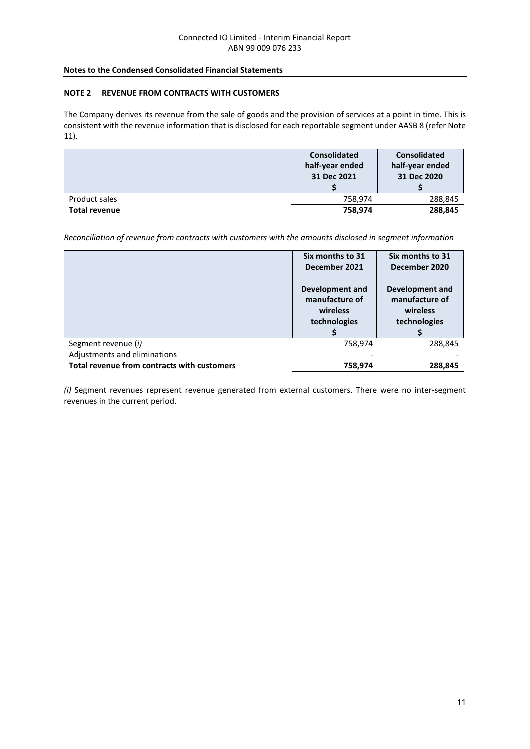#### **NOTE 2 REVENUE FROM CONTRACTS WITH CUSTOMERS**

The Company derives its revenue from the sale of goods and the provision of services at a point in time. This is consistent with the revenue information that is disclosed for each reportable segment under AASB 8 (refer Note 11).

|                      | <b>Consolidated</b><br>half-year ended<br>31 Dec 2021 | <b>Consolidated</b><br>half-year ended<br>31 Dec 2020 |
|----------------------|-------------------------------------------------------|-------------------------------------------------------|
| Product sales        | 758,974                                               | 288,845                                               |
| <b>Total revenue</b> | 758,974                                               | 288,845                                               |

*Reconciliation of revenue from contracts with customers with the amounts disclosed in segment information*

|                                             | Six months to 31<br>December 2021                                    | Six months to 31<br>December 2020                             |
|---------------------------------------------|----------------------------------------------------------------------|---------------------------------------------------------------|
|                                             | <b>Development and</b><br>manufacture of<br>wireless<br>technologies | Development and<br>manufacture of<br>wireless<br>technologies |
| Segment revenue (i)                         | 758,974                                                              | 288,845                                                       |
| Adjustments and eliminations                |                                                                      |                                                               |
| Total revenue from contracts with customers | 758,974                                                              | 288,845                                                       |

*(i)* Segment revenues represent revenue generated from external customers. There were no inter-segment revenues in the current period.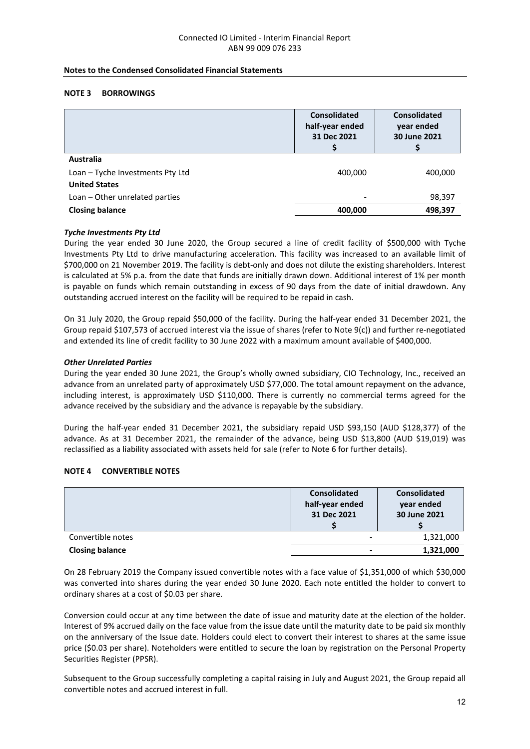#### **NOTE 3 BORROWINGS**

|                                  | <b>Consolidated</b><br>half-year ended<br>31 Dec 2021 | <b>Consolidated</b><br>year ended<br>30 June 2021 |
|----------------------------------|-------------------------------------------------------|---------------------------------------------------|
| <b>Australia</b>                 |                                                       |                                                   |
| Loan - Tyche Investments Pty Ltd | 400,000                                               | 400,000                                           |
| <b>United States</b>             |                                                       |                                                   |
| Loan - Other unrelated parties   | ۰                                                     | 98,397                                            |
| <b>Closing balance</b>           | 400,000                                               | 498,397                                           |

#### *Tyche Investments Pty Ltd*

During the year ended 30 June 2020, the Group secured a line of credit facility of \$500,000 with Tyche Investments Pty Ltd to drive manufacturing acceleration. This facility was increased to an available limit of \$700,000 on 21 November 2019. The facility is debt-only and does not dilute the existing shareholders. Interest is calculated at 5% p.a. from the date that funds are initially drawn down. Additional interest of 1% per month is payable on funds which remain outstanding in excess of 90 days from the date of initial drawdown. Any outstanding accrued interest on the facility will be required to be repaid in cash.

On 31 July 2020, the Group repaid \$50,000 of the facility. During the half-year ended 31 December 2021, the Group repaid \$107,573 of accrued interest via the issue of shares (refer to Note 9(c)) and further re-negotiated and extended its line of credit facility to 30 June 2022 with a maximum amount available of \$400,000.

#### *Other Unrelated Parties*

During the year ended 30 June 2021, the Group's wholly owned subsidiary, CIO Technology, Inc., received an advance from an unrelated party of approximately USD \$77,000. The total amount repayment on the advance, including interest, is approximately USD \$110,000. There is currently no commercial terms agreed for the advance received by the subsidiary and the advance is repayable by the subsidiary.

During the half-year ended 31 December 2021, the subsidiary repaid USD \$93,150 (AUD \$128,377) of the advance. As at 31 December 2021, the remainder of the advance, being USD \$13,800 (AUD \$19,019) was reclassified as a liability associated with assets held for sale (refer to Note 6 for further details).

#### **NOTE 4 CONVERTIBLE NOTES**

|                        | <b>Consolidated</b><br>half-year ended<br>31 Dec 2021 | <b>Consolidated</b><br>year ended<br>30 June 2021 |
|------------------------|-------------------------------------------------------|---------------------------------------------------|
| Convertible notes      |                                                       | 1,321,000                                         |
| <b>Closing balance</b> |                                                       | 1,321,000                                         |

On 28 February 2019 the Company issued convertible notes with a face value of \$1,351,000 of which \$30,000 was converted into shares during the year ended 30 June 2020. Each note entitled the holder to convert to ordinary shares at a cost of \$0.03 per share.

Conversion could occur at any time between the date of issue and maturity date at the election of the holder. Interest of 9% accrued daily on the face value from the issue date until the maturity date to be paid six monthly on the anniversary of the Issue date. Holders could elect to convert their interest to shares at the same issue price (\$0.03 per share). Noteholders were entitled to secure the loan by registration on the Personal Property Securities Register (PPSR).

Subsequent to the Group successfully completing a capital raising in July and August 2021, the Group repaid all convertible notes and accrued interest in full.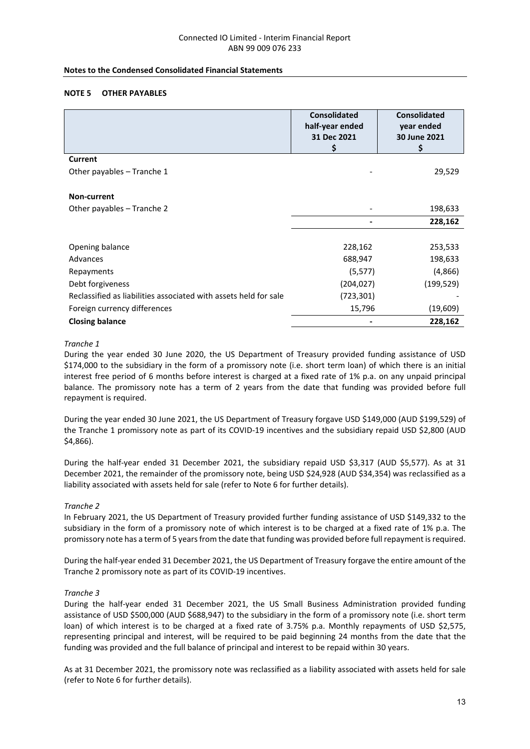#### **NOTE 5 OTHER PAYABLES**

|                                                                  | <b>Consolidated</b><br>half-year ended<br>31 Dec 2021 | <b>Consolidated</b><br>year ended<br>30 June 2021 |
|------------------------------------------------------------------|-------------------------------------------------------|---------------------------------------------------|
|                                                                  | \$                                                    | Ś                                                 |
| <b>Current</b>                                                   |                                                       |                                                   |
| Other payables - Tranche 1                                       |                                                       | 29,529                                            |
|                                                                  |                                                       |                                                   |
| Non-current                                                      |                                                       |                                                   |
| Other payables - Tranche 2                                       |                                                       | 198,633                                           |
|                                                                  |                                                       | 228,162                                           |
|                                                                  |                                                       |                                                   |
| Opening balance                                                  | 228,162                                               | 253,533                                           |
| Advances                                                         | 688,947                                               | 198,633                                           |
| Repayments                                                       | (5, 577)                                              | (4,866)                                           |
| Debt forgiveness                                                 | (204,027)                                             | (199, 529)                                        |
| Reclassified as liabilities associated with assets held for sale | (723,301)                                             |                                                   |
| Foreign currency differences                                     | 15,796                                                | (19, 609)                                         |
| <b>Closing balance</b>                                           |                                                       | 228,162                                           |

#### *Tranche 1*

During the year ended 30 June 2020, the US Department of Treasury provided funding assistance of USD \$174,000 to the subsidiary in the form of a promissory note (i.e. short term loan) of which there is an initial interest free period of 6 months before interest is charged at a fixed rate of 1% p.a. on any unpaid principal balance. The promissory note has a term of 2 years from the date that funding was provided before full repayment is required.

During the year ended 30 June 2021, the US Department of Treasury forgave USD \$149,000 (AUD \$199,529) of the Tranche 1 promissory note as part of its COVID-19 incentives and the subsidiary repaid USD \$2,800 (AUD \$4,866).

During the half-year ended 31 December 2021, the subsidiary repaid USD \$3,317 (AUD \$5,577). As at 31 December 2021, the remainder of the promissory note, being USD \$24,928 (AUD \$34,354) was reclassified as a liability associated with assets held for sale (refer to Note 6 for further details).

#### *Tranche 2*

In February 2021, the US Department of Treasury provided further funding assistance of USD \$149,332 to the subsidiary in the form of a promissory note of which interest is to be charged at a fixed rate of 1% p.a. The promissory note has a term of 5 years from the date that funding was provided before full repayment is required.

During the half-year ended 31 December 2021, the US Department of Treasury forgave the entire amount of the Tranche 2 promissory note as part of its COVID-19 incentives.

#### *Tranche 3*

During the half-year ended 31 December 2021, the US Small Business Administration provided funding assistance of USD \$500,000 (AUD \$688,947) to the subsidiary in the form of a promissory note (i.e. short term loan) of which interest is to be charged at a fixed rate of 3.75% p.a. Monthly repayments of USD \$2,575, representing principal and interest, will be required to be paid beginning 24 months from the date that the funding was provided and the full balance of principal and interest to be repaid within 30 years.

As at 31 December 2021, the promissory note was reclassified as a liability associated with assets held for sale (refer to Note 6 for further details).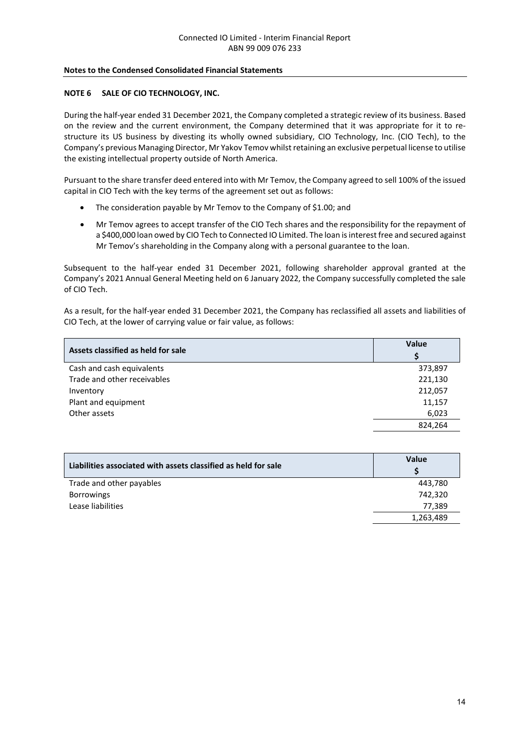#### **NOTE 6 SALE OF CIO TECHNOLOGY, INC.**

During the half-year ended 31 December 2021, the Company completed a strategic review of its business. Based on the review and the current environment, the Company determined that it was appropriate for it to restructure its US business by divesting its wholly owned subsidiary, CIO Technology, Inc. (CIO Tech), to the Company's previous Managing Director, Mr Yakov Temov whilst retaining an exclusive perpetual license to utilise the existing intellectual property outside of North America.

Pursuant to the share transfer deed entered into with Mr Temov, the Company agreed to sell 100% of the issued capital in CIO Tech with the key terms of the agreement set out as follows:

- The consideration payable by Mr Temov to the Company of \$1.00; and
- Mr Temov agrees to accept transfer of the CIO Tech shares and the responsibility for the repayment of a \$400,000 loan owed by CIO Tech to Connected IO Limited. The loan is interest free and secured against Mr Temov's shareholding in the Company along with a personal guarantee to the loan.

Subsequent to the half-year ended 31 December 2021, following shareholder approval granted at the Company's 2021 Annual General Meeting held on 6 January 2022, the Company successfully completed the sale of CIO Tech.

As a result, for the half-year ended 31 December 2021, the Company has reclassified all assets and liabilities of CIO Tech, at the lower of carrying value or fair value, as follows:

| Assets classified as held for sale | Value   |  |
|------------------------------------|---------|--|
| Cash and cash equivalents          | 373,897 |  |
| Trade and other receivables        | 221,130 |  |
| Inventory                          | 212,057 |  |
| Plant and equipment                | 11,157  |  |
| Other assets                       | 6,023   |  |
|                                    | 824,264 |  |

| Liabilities associated with assets classified as held for sale | Value     |
|----------------------------------------------------------------|-----------|
| Trade and other payables                                       | 443,780   |
| <b>Borrowings</b>                                              | 742,320   |
| Lease liabilities                                              | 77.389    |
|                                                                | 1,263,489 |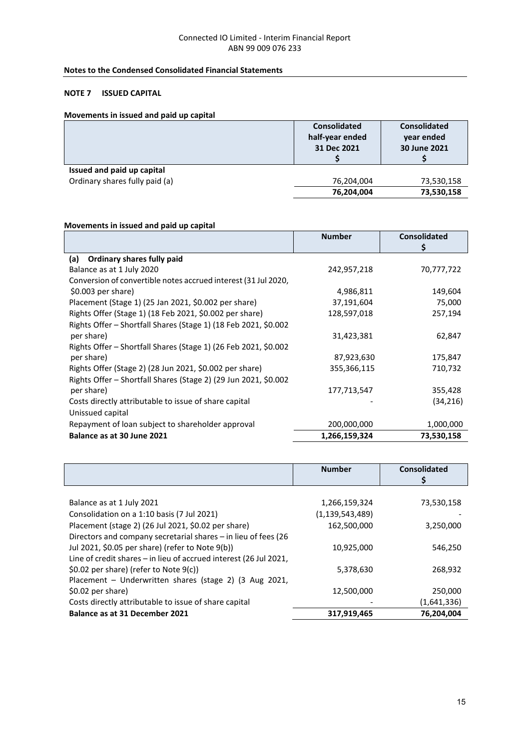#### **Notes to the Condensed Consolidated Financial Statements**

## **NOTE 7 ISSUED CAPITAL**

#### **Movements in issued and paid up capital**

|                                | <b>Consolidated</b> | <b>Consolidated</b> |
|--------------------------------|---------------------|---------------------|
|                                | half-year ended     | year ended          |
|                                | 31 Dec 2021         | 30 June 2021        |
|                                |                     |                     |
| Issued and paid up capital     |                     |                     |
| Ordinary shares fully paid (a) | 76,204,004          | 73,530,158          |
|                                | 76,204,004          | 73,530,158          |

### **Movements in issued and paid up capital**

|                                                                 | <b>Number</b> | <b>Consolidated</b> |
|-----------------------------------------------------------------|---------------|---------------------|
|                                                                 |               | Ş                   |
| Ordinary shares fully paid<br>(a)                               |               |                     |
| Balance as at 1 July 2020                                       | 242,957,218   | 70,777,722          |
| Conversion of convertible notes accrued interest (31 Jul 2020,  |               |                     |
| $$0.003$ per share)                                             | 4,986,811     | 149,604             |
| Placement (Stage 1) (25 Jan 2021, \$0.002 per share)            | 37,191,604    | 75,000              |
| Rights Offer (Stage 1) (18 Feb 2021, \$0.002 per share)         | 128,597,018   | 257,194             |
| Rights Offer - Shortfall Shares (Stage 1) (18 Feb 2021, \$0.002 |               |                     |
| per share)                                                      | 31,423,381    | 62,847              |
| Rights Offer – Shortfall Shares (Stage 1) (26 Feb 2021, \$0.002 |               |                     |
| per share)                                                      | 87,923,630    | 175,847             |
| Rights Offer (Stage 2) (28 Jun 2021, \$0.002 per share)         | 355,366,115   | 710,732             |
| Rights Offer - Shortfall Shares (Stage 2) (29 Jun 2021, \$0.002 |               |                     |
| per share)                                                      | 177,713,547   | 355,428             |
| Costs directly attributable to issue of share capital           |               | (34, 216)           |
| Unissued capital                                                |               |                     |
| Repayment of loan subject to shareholder approval               | 200,000,000   | 1,000,000           |
| Balance as at 30 June 2021                                      | 1,266,159,324 | 73,530,158          |

|                                                                   | <b>Number</b>      | Consolidated<br>Ś |
|-------------------------------------------------------------------|--------------------|-------------------|
|                                                                   |                    |                   |
| Balance as at 1 July 2021                                         | 1,266,159,324      | 73,530,158        |
| Consolidation on a 1:10 basis (7 Jul 2021)                        | (1, 139, 543, 489) |                   |
| Placement (stage 2) (26 Jul 2021, \$0.02 per share)               | 162,500,000        | 3,250,000         |
| Directors and company secretarial shares - in lieu of fees (26    |                    |                   |
| Jul 2021, \$0.05 per share) (refer to Note 9(b))                  | 10,925,000         | 546,250           |
| Line of credit shares - in lieu of accrued interest (26 Jul 2021, |                    |                   |
| \$0.02 per share) (refer to Note 9(c))                            | 5,378,630          | 268,932           |
| Placement - Underwritten shares (stage 2) (3 Aug 2021,            |                    |                   |
| \$0.02 per share)                                                 | 12,500,000         | 250,000           |
| Costs directly attributable to issue of share capital             |                    | (1,641,336)       |
| <b>Balance as at 31 December 2021</b>                             | 317,919,465        | 76,204,004        |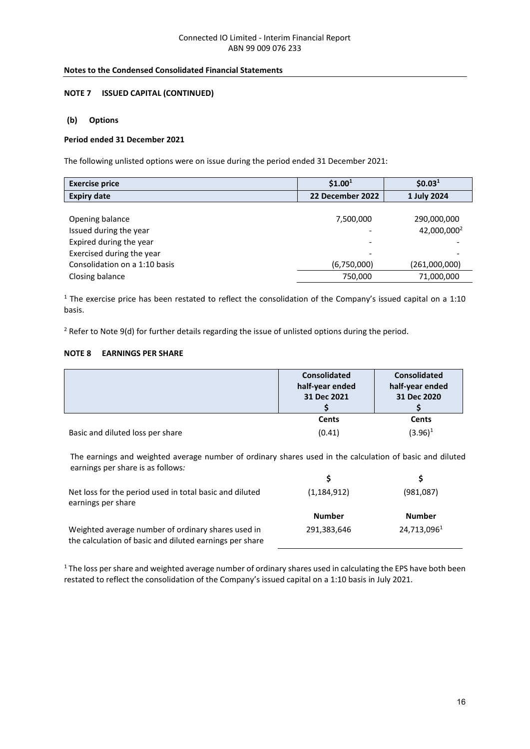#### **NOTE 7 ISSUED CAPITAL (CONTINUED)**

#### **(b) Options**

#### **Period ended 31 December 2021**

The following unlisted options were on issue during the period ended 31 December 2021:

| <b>Exercise price</b>         | \$1.00 <sup>1</sup> | \$0.03 <sup>1</sup>     |
|-------------------------------|---------------------|-------------------------|
| <b>Expiry date</b>            | 22 December 2022    | 1 July 2024             |
|                               |                     |                         |
| Opening balance               | 7,500,000           | 290,000,000             |
| Issued during the year        |                     | 42,000,000 <sup>2</sup> |
| Expired during the year       |                     |                         |
| Exercised during the year     |                     |                         |
| Consolidation on a 1:10 basis | (6,750,000)         | (261,000,000)           |
| Closing balance               | 750,000             | 71,000,000              |

<sup>1</sup> The exercise price has been restated to reflect the consolidation of the Company's issued capital on a 1:10 basis.

<sup>2</sup> Refer to Note 9(d) for further details regarding the issue of unlisted options during the period.

#### **NOTE 8 EARNINGS PER SHARE**

|                                  | <b>Consolidated</b><br>half-year ended<br>31 Dec 2021 | <b>Consolidated</b><br>half-year ended<br>31 Dec 2020 |
|----------------------------------|-------------------------------------------------------|-------------------------------------------------------|
|                                  |                                                       |                                                       |
|                                  | <b>Cents</b>                                          | <b>Cents</b>                                          |
| Basic and diluted loss per share | (0.41)                                                | $(3.96)^1$                                            |

The earnings and weighted average number of ordinary shares used in the calculation of basic and diluted earnings per share is as follows*:*

| Net loss for the period used in total basic and diluted<br>earnings per share                                 | (1, 184, 912) | (981,087)     |
|---------------------------------------------------------------------------------------------------------------|---------------|---------------|
|                                                                                                               | <b>Number</b> | <b>Number</b> |
| Weighted average number of ordinary shares used in<br>the calculation of basic and diluted earnings per share | 291,383,646   | 24,713,0961   |

<sup>1</sup> The loss per share and weighted average number of ordinary shares used in calculating the EPS have both been restated to reflect the consolidation of the Company's issued capital on a 1:10 basis in July 2021.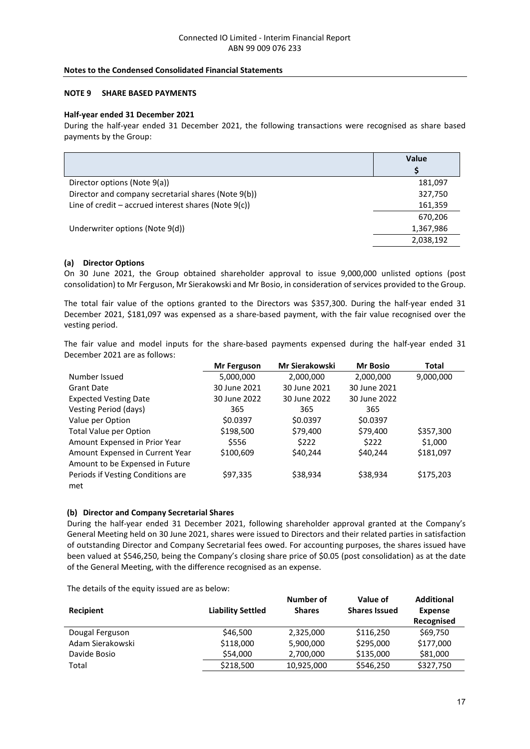#### **NOTE 9 SHARE BASED PAYMENTS**

#### **Half-year ended 31 December 2021**

During the half-year ended 31 December 2021, the following transactions were recognised as share based payments by the Group:

|                                                           | Value     |  |
|-----------------------------------------------------------|-----------|--|
|                                                           |           |  |
| Director options (Note 9(a))                              | 181,097   |  |
| Director and company secretarial shares (Note 9(b))       | 327,750   |  |
| Line of credit $-$ accrued interest shares (Note $9(c)$ ) | 161,359   |  |
|                                                           | 670,206   |  |
| Underwriter options (Note 9(d))                           | 1,367,986 |  |
|                                                           | 2,038,192 |  |

#### **(a) Director Options**

On 30 June 2021, the Group obtained shareholder approval to issue 9,000,000 unlisted options (post consolidation) to Mr Ferguson, Mr Sierakowski and Mr Bosio, in consideration of services provided to the Group.

The total fair value of the options granted to the Directors was \$357,300. During the half-year ended 31 December 2021, \$181,097 was expensed as a share-based payment, with the fair value recognised over the vesting period.

The fair value and model inputs for the share-based payments expensed during the half-year ended 31 December 2021 are as follows:

|                                                                    | Mr Ferguson  | <b>Mr Sierakowski</b> | <b>Mr Bosio</b> | <b>Total</b> |
|--------------------------------------------------------------------|--------------|-----------------------|-----------------|--------------|
| Number Issued                                                      | 5,000,000    | 2,000,000             | 2,000,000       | 9,000,000    |
| <b>Grant Date</b>                                                  | 30 June 2021 | 30 June 2021          | 30 June 2021    |              |
| <b>Expected Vesting Date</b>                                       | 30 June 2022 | 30 June 2022          | 30 June 2022    |              |
| Vesting Period (days)                                              | 365          | 365                   | 365             |              |
| Value per Option                                                   | \$0.0397     | \$0.0397              | \$0.0397        |              |
| <b>Total Value per Option</b>                                      | \$198,500    | \$79,400              | \$79,400        | \$357,300    |
| Amount Expensed in Prior Year                                      | \$556        | \$222                 | \$222           | \$1,000      |
| Amount Expensed in Current Year<br>Amount to be Expensed in Future | \$100,609    | \$40,244              | \$40,244        | \$181,097    |
| Periods if Vesting Conditions are<br>met                           | \$97,335     | \$38,934              | \$38,934        | \$175,203    |

#### **(b) Director and Company Secretarial Shares**

During the half-year ended 31 December 2021, following shareholder approval granted at the Company's General Meeting held on 30 June 2021, shares were issued to Directors and their related parties in satisfaction of outstanding Director and Company Secretarial fees owed. For accounting purposes, the shares issued have been valued at \$546,250, being the Company's closing share price of \$0.05 (post consolidation) as at the date of the General Meeting, with the difference recognised as an expense.

The details of the equity issued are as below:

| Recipient        | <b>Liability Settled</b> | Number of<br><b>Shares</b> | Value of<br><b>Shares Issued</b> | <b>Additional</b><br><b>Expense</b><br>Recognised |
|------------------|--------------------------|----------------------------|----------------------------------|---------------------------------------------------|
| Dougal Ferguson  | \$46,500                 | 2,325,000                  | \$116,250                        | \$69,750                                          |
| Adam Sierakowski | \$118,000                | 5,900,000                  | \$295,000                        | \$177,000                                         |
| Davide Bosio     | \$54,000                 | 2,700,000                  | \$135,000                        | \$81,000                                          |
| Total            | \$218,500                | 10,925,000                 | \$546,250                        | \$327,750                                         |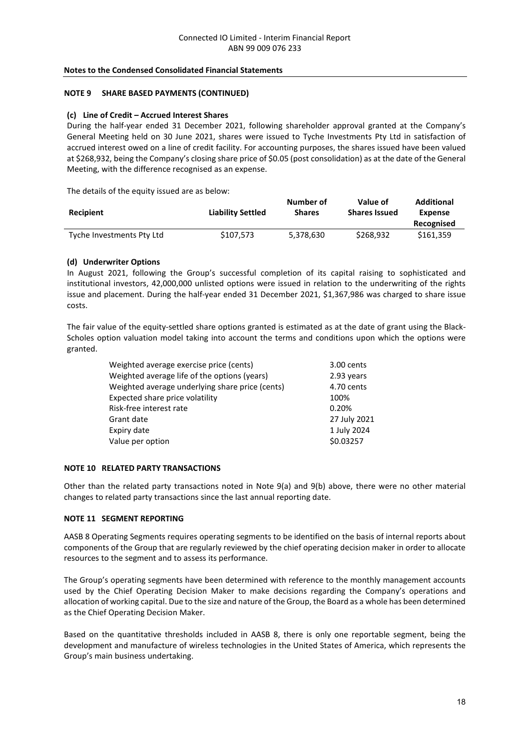#### **NOTE 9 SHARE BASED PAYMENTS (CONTINUED)**

#### **(c) Line of Credit – Accrued Interest Shares**

During the half-year ended 31 December 2021, following shareholder approval granted at the Company's General Meeting held on 30 June 2021, shares were issued to Tyche Investments Pty Ltd in satisfaction of accrued interest owed on a line of credit facility. For accounting purposes, the shares issued have been valued at \$268,932, being the Company's closing share price of \$0.05 (post consolidation) as at the date of the General Meeting, with the difference recognised as an expense.

The details of the equity issued are as below:

| <b>Recipient</b>          | <b>Liability Settled</b> | Number of<br><b>Shares</b> | Value of<br><b>Shares Issued</b> | <b>Additional</b><br>Expense<br>Recognised |
|---------------------------|--------------------------|----------------------------|----------------------------------|--------------------------------------------|
| Tyche Investments Pty Ltd | \$107.573                | 5.378.630                  | \$268.932                        | \$161.359                                  |

#### **(d) Underwriter Options**

In August 2021, following the Group's successful completion of its capital raising to sophisticated and institutional investors, 42,000,000 unlisted options were issued in relation to the underwriting of the rights issue and placement. During the half-year ended 31 December 2021, \$1,367,986 was charged to share issue costs.

The fair value of the equity-settled share options granted is estimated as at the date of grant using the Black-Scholes option valuation model taking into account the terms and conditions upon which the options were granted.

| Weighted average exercise price (cents)         | 3.00 cents   |
|-------------------------------------------------|--------------|
| Weighted average life of the options (years)    | 2.93 years   |
| Weighted average underlying share price (cents) | 4.70 cents   |
| Expected share price volatility                 | 100%         |
| Risk-free interest rate                         | 0.20%        |
| Grant date                                      | 27 July 2021 |
| Expiry date                                     | 1 July 2024  |
| Value per option                                | \$0.03257    |
|                                                 |              |

#### **NOTE 10 RELATED PARTY TRANSACTIONS**

Other than the related party transactions noted in Note 9(a) and 9(b) above, there were no other material changes to related party transactions since the last annual reporting date.

#### **NOTE 11 SEGMENT REPORTING**

AASB 8 Operating Segments requires operating segments to be identified on the basis of internal reports about components of the Group that are regularly reviewed by the chief operating decision maker in order to allocate resources to the segment and to assess its performance.

The Group's operating segments have been determined with reference to the monthly management accounts used by the Chief Operating Decision Maker to make decisions regarding the Company's operations and allocation of working capital. Due to the size and nature of the Group, the Board as a whole has been determined as the Chief Operating Decision Maker.

Based on the quantitative thresholds included in AASB 8, there is only one reportable segment, being the development and manufacture of wireless technologies in the United States of America, which represents the Group's main business undertaking.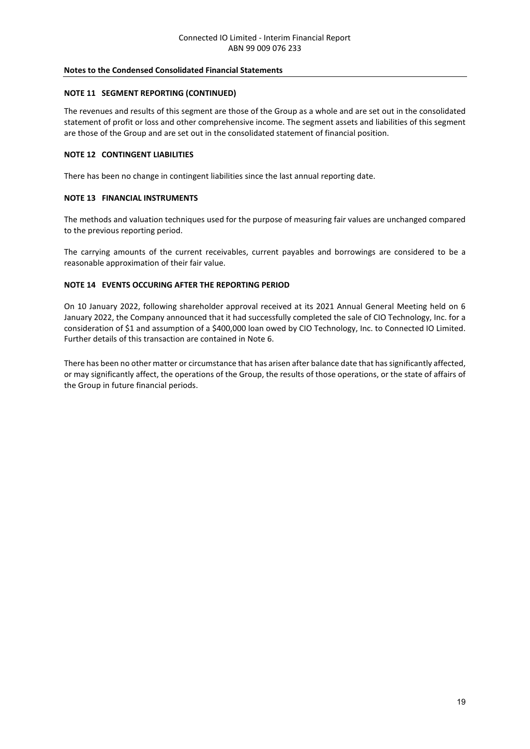#### **NOTE 11 SEGMENT REPORTING (CONTINUED)**

The revenues and results of this segment are those of the Group as a whole and are set out in the consolidated statement of profit or loss and other comprehensive income. The segment assets and liabilities of this segment are those of the Group and are set out in the consolidated statement of financial position.

#### **NOTE 12 CONTINGENT LIABILITIES**

There has been no change in contingent liabilities since the last annual reporting date.

#### **NOTE 13 FINANCIAL INSTRUMENTS**

The methods and valuation techniques used for the purpose of measuring fair values are unchanged compared to the previous reporting period.

The carrying amounts of the current receivables, current payables and borrowings are considered to be a reasonable approximation of their fair value.

#### **NOTE 14 EVENTS OCCURING AFTER THE REPORTING PERIOD**

On 10 January 2022, following shareholder approval received at its 2021 Annual General Meeting held on 6 January 2022, the Company announced that it had successfully completed the sale of CIO Technology, Inc. for a consideration of \$1 and assumption of a \$400,000 loan owed by CIO Technology, Inc. to Connected IO Limited. Further details of this transaction are contained in Note 6.

There has been no other matter or circumstance that has arisen after balance date that has significantly affected, or may significantly affect, the operations of the Group, the results of those operations, or the state of affairs of the Group in future financial periods.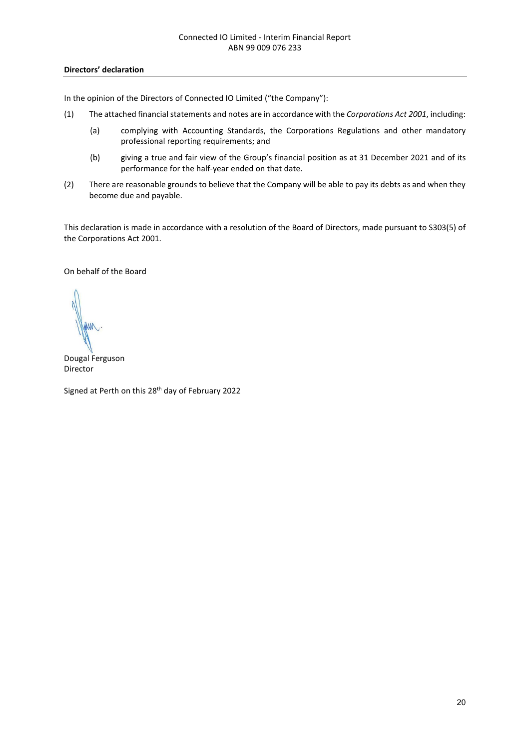#### **Directors' declaration**

In the opinion of the Directors of Connected IO Limited ("the Company"):

- (1) The attached financial statements and notes are in accordance with the *Corporations Act 2001*, including:
	- (a) complying with Accounting Standards, the Corporations Regulations and other mandatory professional reporting requirements; and
	- (b) giving a true and fair view of the Group's financial position as at 31 December 2021 and of its performance for the half-year ended on that date.
- (2) There are reasonable grounds to believe that the Company will be able to pay its debts as and when they become due and payable.

This declaration is made in accordance with a resolution of the Board of Directors, made pursuant to S303(5) of the Corporations Act 2001.

On behalf of the Board

Dougal Ferguson Director

Signed at Perth on this 28<sup>th</sup> day of February 2022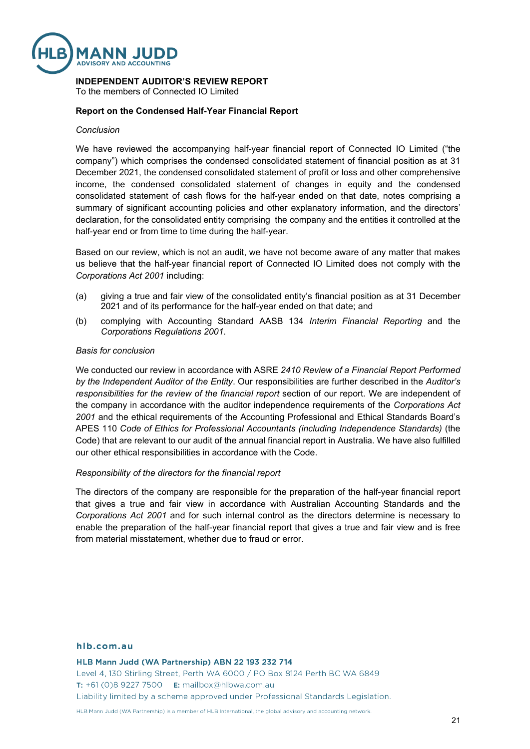

## **INDEPENDENT AUDITOR'S REVIEW REPORT**

To the members of Connected IO Limited

#### **Report on the Condensed Half-Year Financial Report**

#### *Conclusion*

We have reviewed the accompanying half-year financial report of Connected IO Limited ("the company") which comprises the condensed consolidated statement of financial position as at 31 December 2021, the condensed consolidated statement of profit or loss and other comprehensive income, the condensed consolidated statement of changes in equity and the condensed consolidated statement of cash flows for the half-year ended on that date, notes comprising a summary of significant accounting policies and other explanatory information, and the directors' declaration, for the consolidated entity comprising the company and the entities it controlled at the half-year end or from time to time during the half-year.

Based on our review, which is not an audit, we have not become aware of any matter that makes us believe that the half-year financial report of Connected IO Limited does not comply with the *Corporations Act 2001* including:

- (a) giving a true and fair view of the consolidated entity's financial position as at 31 December 2021 and of its performance for the half-year ended on that date; and
- (b) complying with Accounting Standard AASB 134 *Interim Financial Reporting* and the *Corporations Regulations 2001*.

#### *Basis for conclusion*

We conducted our review in accordance with ASRE *2410 Review of a Financial Report Performed by the Independent Auditor of the Entity*. Our responsibilities are further described in the *Auditor's responsibilities for the review of the financial report* section of our report. We are independent of the company in accordance with the auditor independence requirements of the *Corporations Act 2001* and the ethical requirements of the Accounting Professional and Ethical Standards Board's APES 110 *Code of Ethics for Professional Accountants (including Independence Standards)* (the Code) that are relevant to our audit of the annual financial report in Australia. We have also fulfilled our other ethical responsibilities in accordance with the Code.

#### *Responsibility of the directors for the financial report*

The directors of the company are responsible for the preparation of the half-year financial report that gives a true and fair view in accordance with Australian Accounting Standards and the *Corporations Act 2001* and for such internal control as the directors determine is necessary to enable the preparation of the half-year financial report that gives a true and fair view and is free from material misstatement, whether due to fraud or error.

#### hlb.com.au

HLB Mann Judd (WA Partnership) ABN 22 193 232 714 Level 4, 130 Stirling Street, Perth WA 6000 / PO Box 8124 Perth BC WA 6849 T: +61 (0)8 9227 7500 E: mailbox@hlbwa.com.au Liability limited by a scheme approved under Professional Standards Legislation.

HLB Mann Judd (WA Partnership) is a member of HLB International, the global advisory and accounting network.